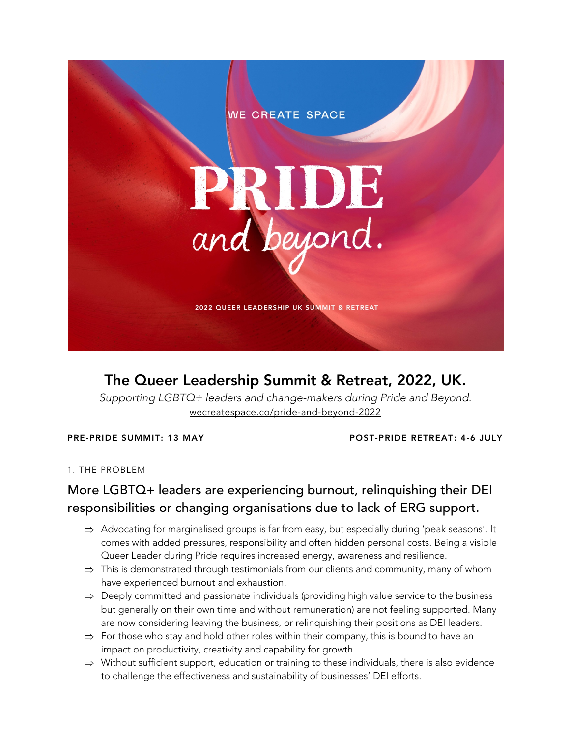

# The Queer Leadership Summit & Retreat, 2022, UK.

*Supporting LGBTQ+ leaders and change-makers during Pride and Beyond.* wecreatespace.co/pride-and-beyond-2022

PRE-PRIDE SUMMIT: 13 MAY POST-PRIDE RETREAT: 4-6 JULY

1. THE PROBLEM

### More LGBTQ+ leaders are experiencing burnout, relinquishing their DEI responsibilities or changing organisations due to lack of ERG support.

- $\Rightarrow$  Advocating for marginalised groups is far from easy, but especially during 'peak seasons'. It comes with added pressures, responsibility and often hidden personal costs. Being a visible Queer Leader during Pride requires increased energy, awareness and resilience.
- $\Rightarrow$  This is demonstrated through testimonials from our clients and community, many of whom have experienced burnout and exhaustion.
- $\Rightarrow$  Deeply committed and passionate individuals (providing high value service to the business but generally on their own time and without remuneration) are not feeling supported. Many are now considering leaving the business, or relinquishing their positions as DEI leaders.
- $\Rightarrow$  For those who stay and hold other roles within their company, this is bound to have an impact on productivity, creativity and capability for growth.
- $\Rightarrow$  Without sufficient support, education or training to these individuals, there is also evidence to challenge the effectiveness and sustainability of businesses' DEI efforts.